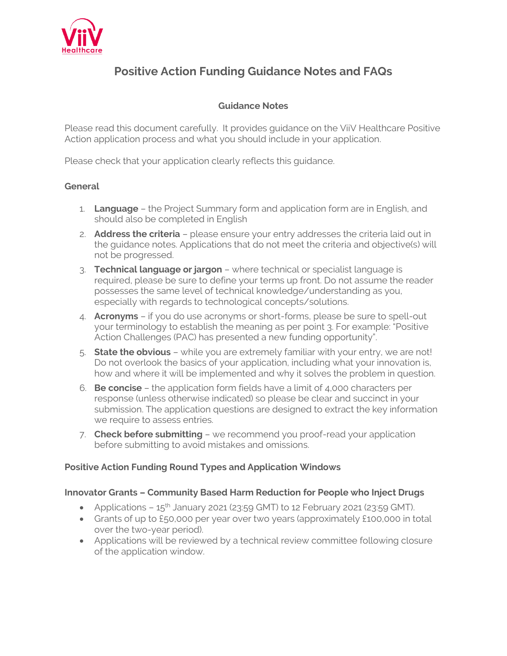

# **Positive Action Funding Guidance Notes and FAQs**

# **Guidance Notes**

Please read this document carefully. It provides guidance on the ViiV Healthcare Positive Action application process and what you should include in your application.

Please check that your application clearly reflects this guidance.

#### **General**

- 1. **Language** the Project Summary form and application form are in English, and should also be completed in English
- 2. **Address the criteria** please ensure your entry addresses the criteria laid out in the guidance notes. Applications that do not meet the criteria and objective(s) will not be progressed.
- 3. **Technical language or jargon** where technical or specialist language is required, please be sure to define your terms up front. Do not assume the reader possesses the same level of technical knowledge/understanding as you, especially with regards to technological concepts/solutions.
- 4. **Acronyms** if you do use acronyms or short-forms, please be sure to spell-out your terminology to establish the meaning as per point 3. For example: "Positive Action Challenges (PAC) has presented a new funding opportunity".
- 5. **State the obvious** while you are extremely familiar with your entry, we are not! Do not overlook the basics of your application, including what your innovation is, how and where it will be implemented and why it solves the problem in question.
- 6. **Be concise** the application form fields have a limit of 4,000 characters per response (unless otherwise indicated) so please be clear and succinct in your submission. The application questions are designed to extract the key information we require to assess entries.
- 7. **Check before submitting** we recommend you proof-read your application before submitting to avoid mistakes and omissions.

# **Positive Action Funding Round Types and Application Windows**

#### **Innovator Grants – Community Based Harm Reduction for People who Inject Drugs**

- Applications  $-15<sup>th</sup>$  January 2021 (23:59 GMT) to 12 February 2021 (23:59 GMT).
- Grants of up to £50,000 per year over two years (approximately £100,000 in total over the two-year period).
- Applications will be reviewed by a technical review committee following closure of the application window.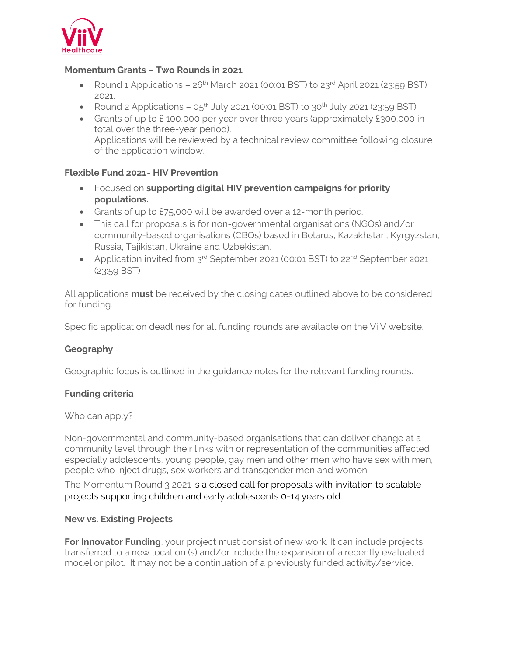

# **Momentum Grants – Two Rounds in 2021**

- Round 1 Applications  $26<sup>th</sup>$  March 2021 (00:01 BST) to  $23<sup>rd</sup>$  April 2021 (23:59 BST) 2021.
- Round 2 Applications  $05^{th}$  July 2021 (00:01 BST) to 30<sup>th</sup> July 2021 (23:59 BST)
- Grants of up to £100,000 per year over three years (approximately £300,000 in total over the three-year period). Applications will be reviewed by a technical review committee following closure of the application window.

# **Flexible Fund 2021- HIV Prevention**

- Focused on **supporting digital HIV prevention campaigns for priority populations.**
- Grants of up to £75,000 will be awarded over a 12-month period.
- This call for proposals is for non-governmental organisations (NGOs) and/or community-based organisations (CBOs) based in Belarus, Kazakhstan, Kyrgyzstan, Russia, Tajikistan, Ukraine and Uzbekistan.
- Application invited from 3<sup>rd</sup> September 2021 (00:01 BST) to 22<sup>nd</sup> September 2021 (23:59 BST)

All applications **must** be received by the closing dates outlined above to be considered for funding.

Specific application deadlines for all funding rounds are available on the ViiV [website.](https://www.viivhealthcare.com/positiveaction)

# **Geography**

Geographic focus is outlined in the guidance notes for the relevant funding rounds.

# **Funding criteria**

Who can apply?

Non-governmental and community-based organisations that can deliver change at a community level through their links with or representation of the communities affected especially adolescents, young people, gay men and other men who have sex with men, people who inject drugs, sex workers and transgender men and women.

The Momentum Round 3 2021 is a closed call for proposals with invitation to scalable projects supporting children and early adolescents 0-14 years old.

# **New vs. Existing Projects**

**For Innovator Funding**, your project must consist of new work. It can include projects transferred to a new location (s) and/or include the expansion of a recently evaluated model or pilot. It may not be a continuation of a previously funded activity/service.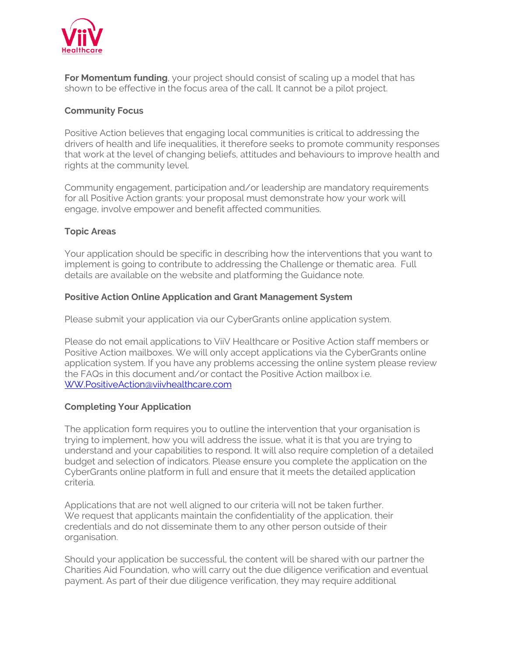

**For Momentum funding**, your project should consist of scaling up a model that has shown to be effective in the focus area of the call. It cannot be a pilot project.

# **Community Focus**

Positive Action believes that engaging local communities is critical to addressing the drivers of health and life inequalities, it therefore seeks to promote community responses that work at the level of changing beliefs, attitudes and behaviours to improve health and rights at the community level.

Community engagement, participation and/or leadership are mandatory requirements for all Positive Action grants: your proposal must demonstrate how your work will engage, involve empower and benefit affected communities.

# **Topic Areas**

Your application should be specific in describing how the interventions that you want to implement is going to contribute to addressing the Challenge or thematic area. Full details are available on the website and platforming the Guidance note.

# **Positive Action Online Application and Grant Management System**

Please submit your application via our CyberGrants online application system.

Please do not email applications to ViiV Healthcare or Positive Action staff members or Positive Action mailboxes. We will only accept applications via the CyberGrants online application system. If you have any problems accessing the online system please review the FAQs in this document and/or contact the Positive Action mailbox i.e[.](mailto:%20WW.PositiveAction@viivhealthcare.com)  [WW.PositiveAction@viivhealthcare.com](mailto:%20WW.PositiveAction@viivhealthcare.com)

# **Completing Your Application**

The application form requires you to outline the intervention that your organisation is trying to implement, how you will address the issue, what it is that you are trying to understand and your capabilities to respond. It will also require completion of a detailed budget and selection of indicators. Please ensure you complete the application on the CyberGrants online platform in full and ensure that it meets the detailed application criteria.

Applications that are not well aligned to our criteria will not be taken further. We request that applicants maintain the confidentiality of the application, their credentials and do not disseminate them to any other person outside of their organisation.

Should your application be successful, the content will be shared with our partner the Charities Aid Foundation, who will carry out the due diligence verification and eventual payment. As part of their due diligence verification, they may require additional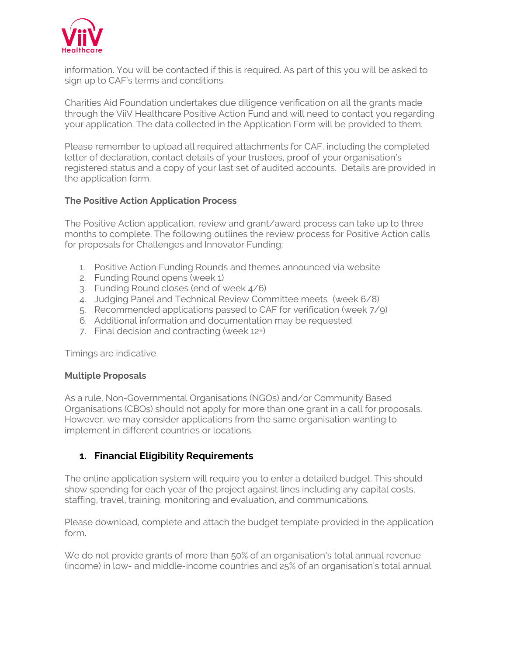

information. You will be contacted if this is required. As part of this you will be asked to sign up to CAF's terms and conditions.

Charities Aid Foundation undertakes due diligence verification on all the grants made through the ViiV Healthcare Positive Action Fund and will need to contact you regarding your application. The data collected in the Application Form will be provided to them.

Please remember to upload all required attachments for CAF, including the completed letter of declaration, contact details of your trustees, proof of your organisation's registered status and a copy of your last set of audited accounts. Details are provided in the application form.

#### **The Positive Action Application Process**

The Positive Action application, review and grant/award process can take up to three months to complete. The following outlines the review process for Positive Action calls for proposals for Challenges and Innovator Funding:

- 1. Positive Action Funding Rounds and themes announced via website
- 2. Funding Round opens (week 1)
- 3. Funding Round closes (end of week 4/6)
- 4. Judging Panel and Technical Review Committee meets (week 6/8)
- 5. Recommended applications passed to CAF for verification (week 7/9)
- 6. Additional information and documentation may be requested
- 7. Final decision and contracting (week 12+)

Timings are indicative.

#### **Multiple Proposals**

As a rule, Non-Governmental Organisations (NGOs) and/or Community Based Organisations (CBOs) should not apply for more than one grant in a call for proposals. However, we may consider applications from the same organisation wanting to implement in different countries or locations.

# **1. Financial Eligibility Requirements**

The online application system will require you to enter a detailed budget. This should show spending for each year of the project against lines including any capital costs, staffing, travel, training, monitoring and evaluation, and communications.

Please download, complete and attach the budget template provided in the application form.

We do not provide grants of more than 50% of an organisation's total annual revenue (income) in low- and middle-income countries and 25% of an organisation's total annual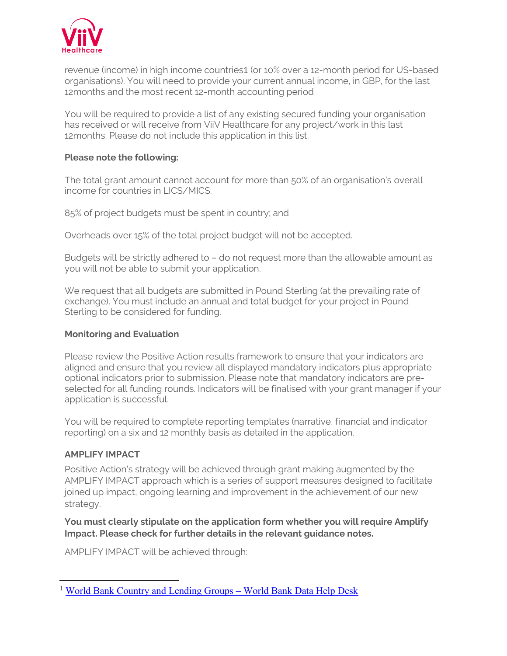

revenue (income) in high income countries1 (or 10% over a 12-month period for US-based organisations). You will need to provide your current annual income, in GBP, for the last 12months and the most recent 12-month accounting period

You will be required to provide a list of any existing secured funding your organisation has received or will receive from ViiV Healthcare for any project/work in this last 12months. Please do not include this application in this list.

#### **Please note the following:**

The total grant amount cannot account for more than 50% of an organisation's overall income for countries in LICS/MICS.

85% of project budgets must be spent in country; and

Overheads over 15% of the total project budget will not be accepted.

Budgets will be strictly adhered to – do not request more than the allowable amount as you will not be able to submit your application.

We request that all budgets are submitted in Pound Sterling (at the prevailing rate of exchange). You must include an annual and total budget for your project in Pound Sterling to be considered for funding.

#### **Monitoring and Evaluation**

Please review the Positive Action results framework to ensure that your indicators are aligned and ensure that you review all displayed mandatory indicators plus appropriate optional indicators prior to submission. Please note that mandatory indicators are preselected for all funding rounds. Indicators will be finalised with your grant manager if your application is successful.

You will be required to complete reporting templates (narrative, financial and indicator reporting) on a six and 12 monthly basis as detailed in the application.

# **AMPLIFY IMPACT**

Positive Action's strategy will be achieved through grant making augmented by the AMPLIFY IMPACT approach which is a series of support measures designed to facilitate joined up impact, ongoing learning and improvement in the achievement of our new strategy.

**You must clearly stipulate on the application form whether you will require Amplify Impact. Please check for further details in the relevant guidance notes.** 

AMPLIFY IMPACT will be achieved through:

<sup>&</sup>lt;sup>1</sup> [World Bank Country and Lending Groups](https://datahelpdesk.worldbank.org/knowledgebase/articles/906519-world-bank-country-and-lending-groups) – World Bank Data Help Desk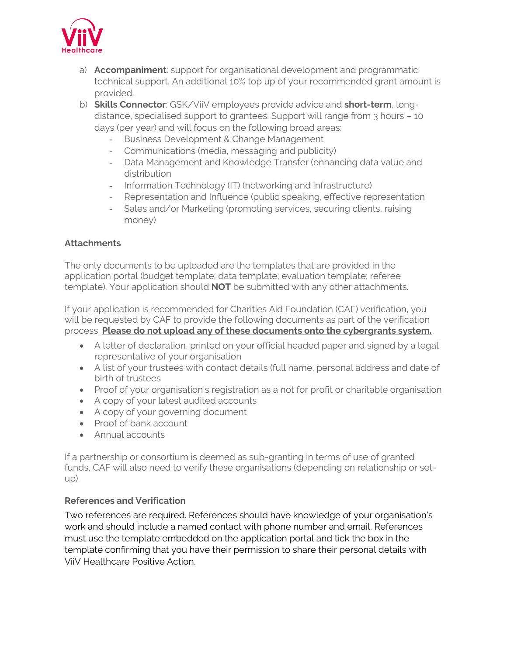

- a) **Accompaniment**: support for organisational development and programmatic technical support. An additional 10% top up of your recommended grant amount is provided.
- b) **Skills Connector**: GSK/ViiV employees provide advice and **short-term**, longdistance, specialised support to grantees. Support will range from 3 hours – 10 days (per year) and will focus on the following broad areas:
	- Business Development & Change Management
	- Communications (media, messaging and publicity)
	- Data Management and Knowledge Transfer (enhancing data value and distribution
	- Information Technology (IT) (networking and infrastructure)
	- Representation and Influence (public speaking, effective representation
	- Sales and/or Marketing (promoting services, securing clients, raising money)

# **Attachments**

The only documents to be uploaded are the templates that are provided in the application portal (budget template; data template; evaluation template; referee template). Your application should **NOT** be submitted with any other attachments.

If your application is recommended for Charities Aid Foundation (CAF) verification, you will be requested by CAF to provide the following documents as part of the verification process. **Please do not upload any of these documents onto the cybergrants system.** 

- A letter of declaration, printed on your official headed paper and signed by a legal representative of your organisation
- A list of your trustees with contact details (full name, personal address and date of birth of trustees
- Proof of your organisation's registration as a not for profit or charitable organisation
- A copy of your latest audited accounts
- A copy of your governing document
- Proof of bank account
- Annual accounts

If a partnership or consortium is deemed as sub-granting in terms of use of granted funds, CAF will also need to verify these organisations (depending on relationship or setup).

# **References and Verification**

Two references are required. References should have knowledge of your organisation's work and should include a named contact with phone number and email. References must use the template embedded on the application portal and tick the box in the template confirming that you have their permission to share their personal details with ViiV Healthcare Positive Action.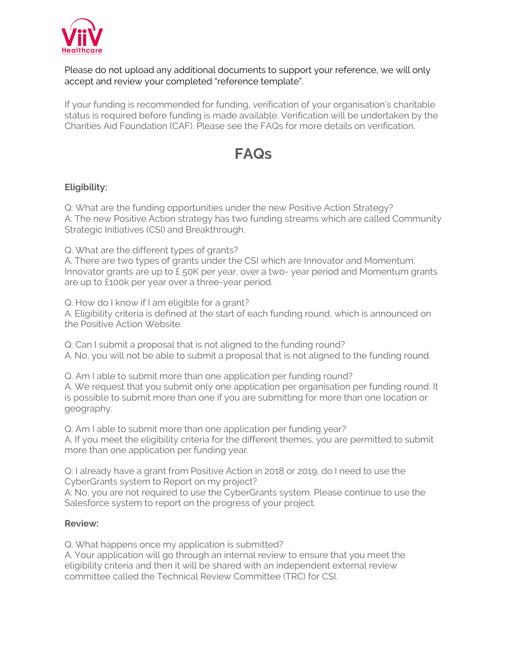

## Please do not upload any additional documents to support your reference, we will only accept and review your completed "reference template".

If your funding is recommended for funding, verification of your organisation's charitable status is required before funding is made available. Verification will be undertaken by the Charities Aid Foundation (CAF). Please see the FAQs for more details on verification.

# **FAQs**

# **Eligibility:**

Q: What are the funding opportunities under the new Positive Action Strategy? A: The new Positive Action strategy has two funding streams which are called Community Strategic Initiatives (CSI) and Breakthrough.

Q. What are the different types of grants?

A. There are two types of grants under the CSI which are Innovator and Momentum. Innovator grants are up to £ 50K per year, over a two- year period and Momentum grants are up to £100k per year over a three-year period.

Q. How do I know if I am eligible for a grant?

A. Eligibility criteria is defined at the start of each funding round, which is announced on the Positive Action Website.

Q. Can I submit a proposal that is not aligned to the funding round? A. No, you will not be able to submit a proposal that is not aligned to the funding round.

Q. Am I able to submit more than one application per funding round? A. We request that you submit only one application per organisation per funding round. It is possible to submit more than one if you are submitting for more than one location or geography.

Q. Am I able to submit more than one application per funding year? A. If you meet the eligibility criteria for the different themes, you are permitted to submit more than one application per funding year.

Q: I already have a grant from Positive Action in 2018 or 2019, do I need to use the CyberGrants system to Report on my project?

A: No, you are not required to use the CyberGrants system. Please continue to use the Salesforce system to report on the progress of your project.

#### **Review:**

Q. What happens once my application is submitted?

A. Your application will go through an internal review to ensure that you meet the eligibility criteria and then it will be shared with an independent external review committee called the Technical Review Committee (TRC) for CSI.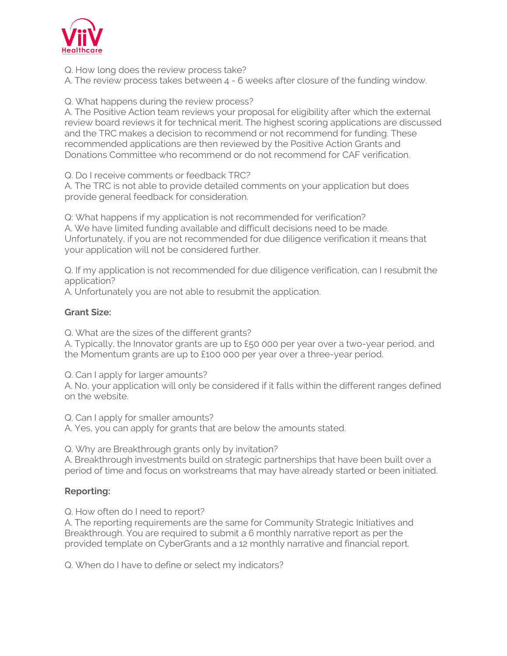

Q. How long does the review process take?

A. The review process takes between 4 - 6 weeks after closure of the funding window.

Q. What happens during the review process?

A. The Positive Action team reviews your proposal for eligibility after which the external review board reviews it for technical merit. The highest scoring applications are discussed and the TRC makes a decision to recommend or not recommend for funding. These recommended applications are then reviewed by the Positive Action Grants and Donations Committee who recommend or do not recommend for CAF verification.

Q. Do I receive comments or feedback TRC?

A. The TRC is not able to provide detailed comments on your application but does provide general feedback for consideration.

Q: What happens if my application is not recommended for verification? A. We have limited funding available and difficult decisions need to be made. Unfortunately, if you are not recommended for due diligence verification it means that your application will not be considered further.

Q. If my application is not recommended for due diligence verification, can I resubmit the application?

A. Unfortunately you are not able to resubmit the application.

# **Grant Size:**

Q. What are the sizes of the different grants?

A. Typically, the Innovator grants are up to £50 000 per year over a two-year period, and the Momentum grants are up to £100 000 per year over a three-year period.

Q. Can I apply for larger amounts?

A. No, your application will only be considered if it falls within the different ranges defined on the website.

Q. Can I apply for smaller amounts?

A. Yes, you can apply for grants that are below the amounts stated.

Q. Why are Breakthrough grants only by invitation?

A. Breakthrough investments build on strategic partnerships that have been built over a period of time and focus on workstreams that may have already started or been initiated.

# **Reporting:**

Q. How often do I need to report?

A. The reporting requirements are the same for Community Strategic Initiatives and Breakthrough. You are required to submit a 6 monthly narrative report as per the provided template on CyberGrants and a 12 monthly narrative and financial report.

Q. When do I have to define or select my indicators?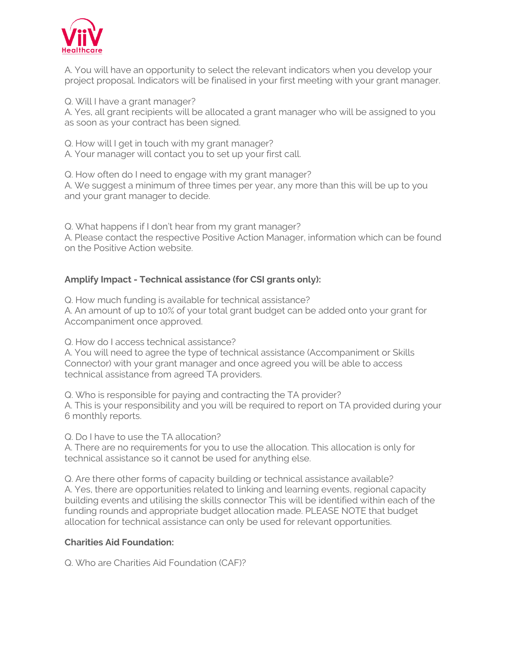

A. You will have an opportunity to select the relevant indicators when you develop your project proposal. Indicators will be finalised in your first meeting with your grant manager.

Q. Will I have a grant manager? A. Yes, all grant recipients will be allocated a grant manager who will be assigned to you as soon as your contract has been signed.

Q. How will I get in touch with my grant manager? A. Your manager will contact you to set up your first call.

Q. How often do I need to engage with my grant manager? A. We suggest a minimum of three times per year, any more than this will be up to you and your grant manager to decide.

Q. What happens if I don't hear from my grant manager? A. Please contact the respective Positive Action Manager, information which can be found on the Positive Action website.

# **Amplify Impact - Technical assistance (for CSI grants only):**

Q. How much funding is available for technical assistance? A. An amount of up to 10% of your total grant budget can be added onto your grant for Accompaniment once approved.

Q. How do I access technical assistance?

A. You will need to agree the type of technical assistance (Accompaniment or Skills Connector) with your grant manager and once agreed you will be able to access technical assistance from agreed TA providers.

Q. Who is responsible for paying and contracting the TA provider? A. This is your responsibility and you will be required to report on TA provided during your 6 monthly reports.

Q. Do I have to use the TA allocation?

A. There are no requirements for you to use the allocation. This allocation is only for technical assistance so it cannot be used for anything else.

Q. Are there other forms of capacity building or technical assistance available? A. Yes, there are opportunities related to linking and learning events, regional capacity building events and utilising the skills connector This will be identified within each of the funding rounds and appropriate budget allocation made. PLEASE NOTE that budget allocation for technical assistance can only be used for relevant opportunities.

#### **Charities Aid Foundation:**

Q. Who are Charities Aid Foundation (CAF)?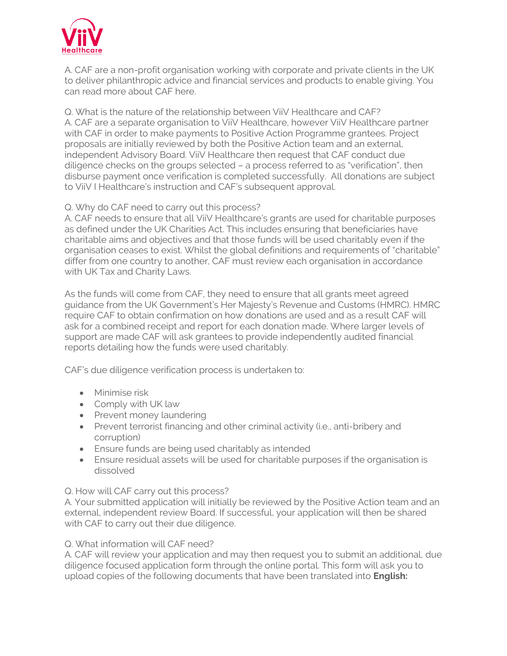

A. CAF are a non-profit organisation working with corporate and private clients in the UK to deliver philanthropic advice and financial services and products to enable giving. You can read more about CAF [here.](https://www.cafonline.org/about-us)

Q. What is the nature of the relationship between ViiV Healthcare and CAF? A. CAF are a separate organisation to ViiV Healthcare, however ViiV Healthcare partner with CAF in order to make payments to Positive Action Programme grantees. Project proposals are initially reviewed by both the Positive Action team and an external, independent Advisory Board. ViiV Healthcare then request that CAF conduct due diligence checks on the groups selected – a process referred to as "verification", then disburse payment once verification is completed successfully. All donations are subject to ViiV I Healthcare's instruction and CAF's subsequent approval.

#### Q. Why do CAF need to carry out this process?

A. CAF needs to ensure that all ViiV Healthcare's grants are used for charitable purposes as defined under the [UK Charities Act.](http://www.legislation.gov.uk/ukpga/2011/25/section/3/enacted) This includes ensuring that beneficiaries have charitable aims and objectives and that those funds will be used charitably even if the organisation ceases to exist. Whilst the global definitions and requirements of "charitable" differ from one country to another, CAF must review each organisation in accordance with UK Tax and Charity Laws.

As the funds will come from CAF, they need to ensure that all grants meet agreed guidance from the UK Government's Her Majesty's Revenue and Customs (HMRC). HMRC require CAF to obtain confirmation on how donations are used and as a result CAF will ask for a combined receipt and report for each donation made. Where larger levels of support are made CAF will ask grantees to provide independently audited financial reports detailing how the funds were used charitably.

CAF's due diligence verification process is undertaken to:

- Minimise risk
- Comply with UK law
- Prevent money laundering
- Prevent terrorist financing and other criminal activity (i.e., anti-bribery and corruption)
- Ensure funds are being used charitably as intended
- Ensure residual assets will be used for charitable purposes if the organisation is dissolved

Q. How will CAF carry out this process?

A. Your submitted application will initially be reviewed by the Positive Action team and an external, independent review Board. If successful, your application will then be shared with CAF to carry out their due diligence.

#### Q. What information will CAF need?

A. CAF will review your application and may then request you to submit an additional, due diligence focused application form through the online portal. This form will ask you to upload copies of the following documents that have been translated into **English:**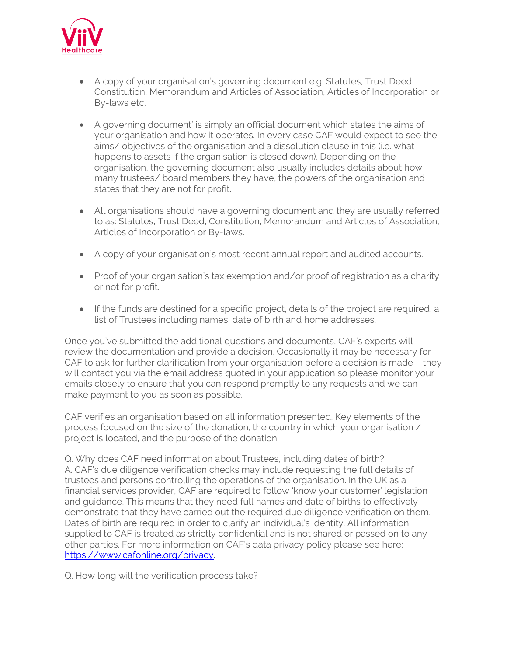

- A copy of your organisation's governing document e.g. Statutes, Trust Deed, Constitution, Memorandum and Articles of Association, Articles of Incorporation or By-laws etc.
- A governing document' is simply an official document which states the aims of your organisation and how it operates. In every case CAF would expect to see the aims/ objectives of the organisation and a dissolution clause in this (i.e. what happens to assets if the organisation is closed down). Depending on the organisation, the governing document also usually includes details about how many trustees/ board members they have, the powers of the organisation and states that they are not for profit.
- All organisations should have a governing document and they are usually referred to as: Statutes, Trust Deed, Constitution, Memorandum and Articles of Association, Articles of Incorporation or By-laws.
- A copy of your organisation's most recent annual report and audited accounts.
- Proof of your organisation's tax exemption and/or proof of registration as a charity or not for profit.
- If the funds are destined for a specific project, details of the project are required, a list of Trustees including names, date of birth and home addresses.

Once you've submitted the additional questions and documents, CAF's experts will review the documentation and provide a decision. Occasionally it may be necessary for CAF to ask for further clarification from your organisation before a decision is made – they will contact you via the email address quoted in your application so please monitor your emails closely to ensure that you can respond promptly to any requests and we can make payment to you as soon as possible.

CAF verifies an organisation based on all information presented. Key elements of the process focused on the size of the donation, the country in which your organisation / project is located, and the purpose of the donation.

Q. Why does CAF need information about Trustees, including dates of birth? A. CAF's due diligence verification checks may include requesting the full details of trustees and persons controlling the operations of the organisation. In the UK as a financial services provider, CAF are required to follow 'know your customer' legislation and guidance. This means that they need full names and date of births to effectively demonstrate that they have carried out the required due diligence verification on them. Dates of birth are required in order to clarify an individual's identity. All information supplied to CAF is treated as strictly confidential and is not shared or passed on to any other parties. For more information on CAF's data privacy policy please see here: [https://www.cafonline.org/privacy.](https://www.cafonline.org/privacy)

Q. How long will the verification process take?